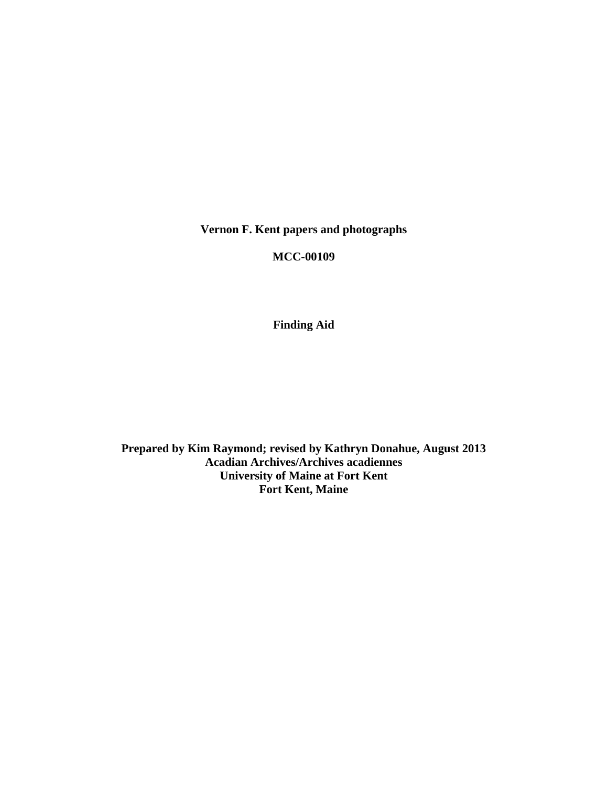**Vernon F. Kent papers and photographs** 

**MCC-00109** 

**Finding Aid** 

**Prepared by Kim Raymond; revised by Kathryn Donahue, August 2013 Acadian Archives/Archives acadiennes University of Maine at Fort Kent Fort Kent, Maine**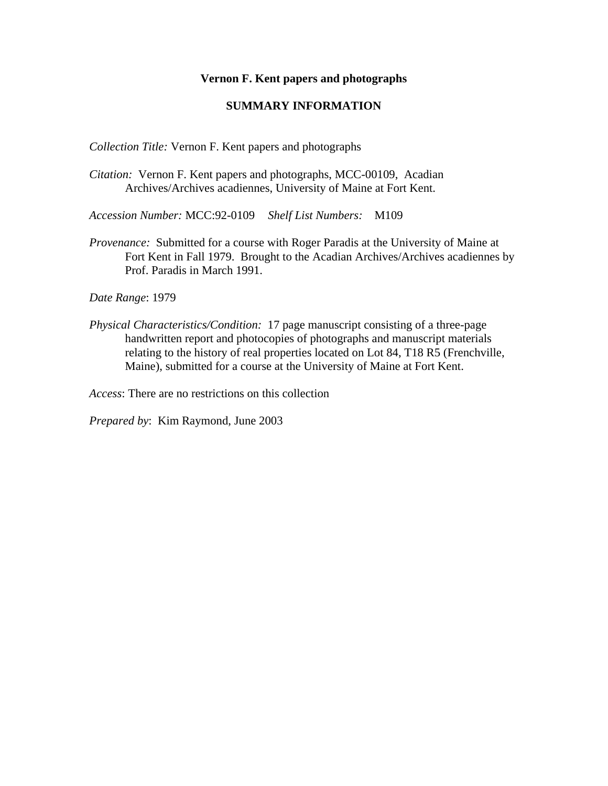## **Vernon F. Kent papers and photographs**

## **SUMMARY INFORMATION**

*Collection Title:* Vernon F. Kent papers and photographs

*Citation:* Vernon F. Kent papers and photographs, MCC-00109, Acadian Archives/Archives acadiennes, University of Maine at Fort Kent.

*Accession Number:* MCC:92-0109 *Shelf List Numbers:* M109

*Provenance:* Submitted for a course with Roger Paradis at the University of Maine at Fort Kent in Fall 1979. Brought to the Acadian Archives/Archives acadiennes by Prof. Paradis in March 1991.

*Date Range*: 1979

*Physical Characteristics/Condition:* 17 page manuscript consisting of a three-page handwritten report and photocopies of photographs and manuscript materials relating to the history of real properties located on Lot 84, T18 R5 (Frenchville, Maine), submitted for a course at the University of Maine at Fort Kent.

*Access*: There are no restrictions on this collection

*Prepared by*: Kim Raymond, June 2003